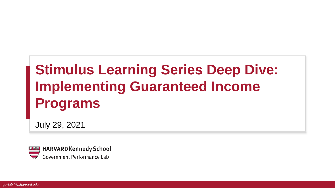# **Stimulus Learning Series Deep Dive: Implementing Guaranteed Income Programs**

July 29, 2021

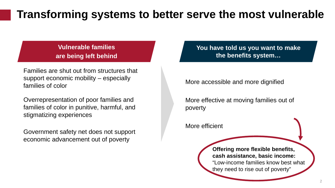## **Transforming systems to better serve the most vulnerable**

**Vulnerable families are being left behind**

Families are shut out from structures that support economic mobility – especially families of color

Overrepresentation of poor families and families of color in punitive, harmful, and stigmatizing experiences

Government safety net does not support economic advancement out of poverty

**You have told us you want to make the benefits system…**

More accessible and more dignified

More effective at moving families out of poverty

More efficient

**Offering more flexible benefits, cash assistance, basic income:** "Low-income families know best what they need to rise out of poverty"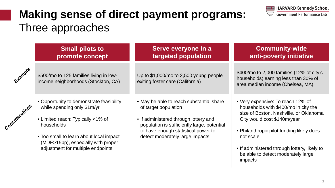## **Making sense of direct payment programs:**  Three approaches



|                | <b>Small pilots to</b><br>promote concept                                                                                                                                                                                                         | Serve everyone in a<br>targeted population                                                                                                                                                                                         | <b>Community-wide</b><br>anti-poverty initiative                                                                                                                                                                                                                                                              |
|----------------|---------------------------------------------------------------------------------------------------------------------------------------------------------------------------------------------------------------------------------------------------|------------------------------------------------------------------------------------------------------------------------------------------------------------------------------------------------------------------------------------|---------------------------------------------------------------------------------------------------------------------------------------------------------------------------------------------------------------------------------------------------------------------------------------------------------------|
| Example        | \$500/mo to 125 families living in low-<br>income neighborhoods (Stockton, CA)                                                                                                                                                                    | Up to $$1,000$ /mo to 2,500 young people<br>exiting foster care (California)                                                                                                                                                       | \$400/mo to 2,000 families (12% of city's<br>households) earning less than 30% of<br>area median income (Chelsea, MA)                                                                                                                                                                                         |
| Considerations | • Opportunity to demonstrate feasibility<br>while spending only \$1m/yr.<br>• Limited reach: Typically <1% of<br>households<br>• Too small to learn about local impact<br>(MDE>15pp), especially with proper<br>adjustment for multiple endpoints | • May be able to reach substantial share<br>of target population<br>• If administered through lottery and<br>population is sufficiently large, potential<br>to have enough statistical power to<br>detect moderately large impacts | • Very expensive: To reach 12% of<br>households with \$400/mo in city the<br>size of Boston, Nashville, or Oklahoma<br>City would cost \$140m/year<br>• Philanthropic pilot funding likely does<br>not scale<br>• If administered through lottery, likely to<br>be able to detect moderately large<br>impacts |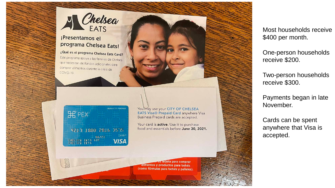

#### ¡Presentamos el programa Chelsea Eats!

¿Qué es el programa Chelsea Eats Card? Este programa apoya a las familias de Chelsea que necesitan de fondos adicionales para comprar alimentos durante la crisis de COVID-19



| PF.                                               | <b>BUSINESS PREPAID</b> |
|---------------------------------------------------|-------------------------|
| 4217 1800 2816                                    | 3515                    |
| $\frac{0.6}{672}$<br>CHELSEA LATS<br>CHELSEA LATS | <b>DEBIT</b><br>VISA    |

You may use your CITY OF CHELSEA **EATS Visa® Prepaid Card anywhere Visa** Business Prepaid cards are accepted.

Your card is **active**. Use it to purchase food and essentials before June 30, 2021. Most households receive \$400 per month.

One-person households receive \$200.

Two-person households receive \$300.

Payments began in late November.

Cards can be spent anywhere that Visa is accepted.

su tarjeta para comprar alimentos y productos para bebés (como fórmulas para bebés y pañales).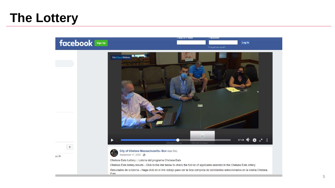## **The Lottery**

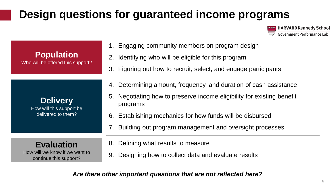## **Design questions for guaranteed income programs**

**HARVARD Kennedy School Government Performance Lab** 

| <b>Population</b><br>Who will be offered this support?                        | Engaging community members on program design<br>1.<br>Identifying who will be eligible for this program<br>2.<br>3. Figuring out how to recruit, select, and engage participants                                                                                                   |
|-------------------------------------------------------------------------------|------------------------------------------------------------------------------------------------------------------------------------------------------------------------------------------------------------------------------------------------------------------------------------|
| <b>Delivery</b><br>How will this support be<br>delivered to them?             | Determining amount, frequency, and duration of cash assistance<br>4.<br>5. Negotiating how to preserve income eligibility for existing benefit<br>programs<br>6. Establishing mechanics for how funds will be disbursed<br>Building out program management and oversight processes |
| <b>Evaluation</b><br>How will we know if we want to<br>continue this support? | Defining what results to measure<br>8.<br>Designing how to collect data and evaluate results<br>9.                                                                                                                                                                                 |

*Are there other important questions that are not reflected here?*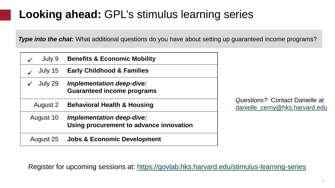## **Looking ahead:** GPL's stimulus learning series

**Type into the chat:** What additional questions do you have about setting up guaranteed income programs?

| July 9    | <b>Benefits &amp; Economic Mobility</b>                                     |
|-----------|-----------------------------------------------------------------------------|
| July 15   | <b>Early Childhood &amp; Families</b>                                       |
| July 29   | <b>Implementation deep-dive:</b><br><b>Guaranteed income programs</b>       |
| August 2  | <b>Behavioral Health &amp; Housing</b>                                      |
| August 10 | <b>Implementation deep-dive:</b><br>Using procurement to advance innovation |
| August 25 | <b>Jobs &amp; Economic Development</b>                                      |

*Questions?* Contact Danielle at [danielle\\_cerny@hks.harvard.edu](mailto:danielle_cerny@hks.harvard.edu)

Register for upcoming sessions at:<https://govlab.hks.harvard.edu/stimulus-learning-series>